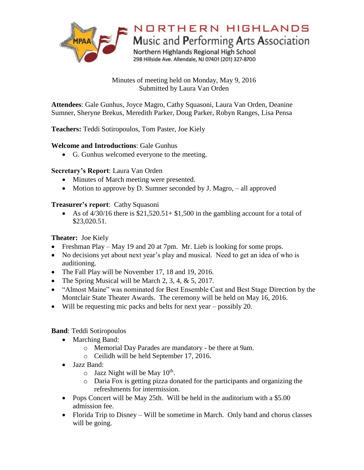

Minutes of meeting held on Monday, May 9, 2016 Submitted by Laura Van Orden

**Attendees**: Gale Gunhus, Joyce Magro, Cathy Squasoni, Laura Van Orden, Deanine Sumner, Sheryne Brekus, Meredith Parker, Doug Parker, Robyn Ranges, Lisa Pensa

## **Teachers:** Teddi Sotiropoulos, Tom Paster, Joe Kiely

#### **Welcome and Introductions**: Gale Gunhus

G. Gunhus welcomed everyone to the meeting.

#### **Secretary's Report**: Laura Van Orden

- Minutes of March meeting were presented.
- Motion to approve by D. Sumner seconded by J. Magro,  $-$  all approved

#### **Treasurer's report**: Cathy Squasoni

As of  $\frac{4}{30/16}$  there is \$21,520.51+ \$1,500 in the gambling account for a total of \$23,020.51.

## **Theater:** Joe Kiely

- Freshman Play May 19 and 20 at 7pm. Mr. Lieb is looking for some props.
- No decisions yet about next year's play and musical. Need to get an idea of who is auditioning.
- The Fall Play will be November 17, 18 and 19, 2016.
- The Spring Musical will be March 2, 3, 4,  $& 5$ , 2017.
- "Almost Maine" was nominated for Best Ensemble Cast and Best Stage Direction by the Montclair State Theater Awards. The ceremony will be held on May 16, 2016.
- Will be requesting mic packs and belts for next year possibly 20.

## **Band**: Teddi Sotiropoulos

- Marching Band:
	- o Memorial Day Parades are mandatory be there at 9am.
	- o Ceilidh will be held September 17, 2016.
- Jazz Band:
	- $\circ$  Jazz Night will be May 10<sup>th</sup>.
	- o Daria Fox is getting pizza donated for the participants and organizing the refreshments for intermission.
- Pops Concert will be May 25th. Will be held in the auditorium with a \$5.00 admission fee.
- Florida Trip to Disney Will be sometime in March. Only band and chorus classes will be going.